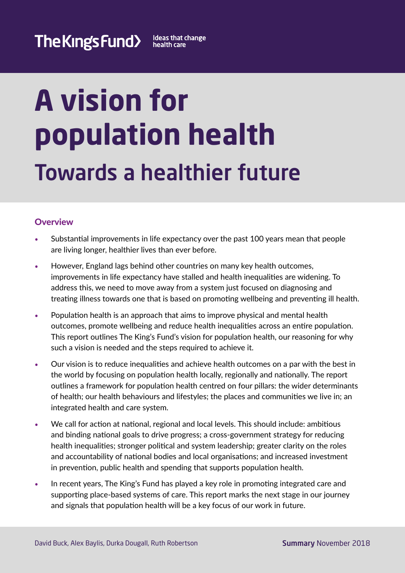# **A vision for population health**  Towards a healthier future

# **Overview**

- **•** Substantial improvements in life expectancy over the past 100 years mean that people are living longer, healthier lives than ever before.
- **•** However, England lags behind other countries on many key health outcomes, improvements in life expectancy have stalled and health inequalities are widening. To address this, we need to move away from a system just focused on diagnosing and treating illness towards one that is based on promoting wellbeing and preventing ill health.
- **•** Population health is an approach that aims to improve physical and mental health outcomes, promote wellbeing and reduce health inequalities across an entire population. This report outlines The King's Fund's vision for population health, our reasoning for why such a vision is needed and the steps required to achieve it.
- **•** Our vision is to reduce inequalities and achieve health outcomes on a par with the best in the world by focusing on population health locally, regionally and nationally. The report outlines a framework for population health centred on four pillars: the wider determinants of health; our health behaviours and lifestyles; the places and communities we live in; an integrated health and care system.
- **•** We call for action at national, regional and local levels. This should include: ambitious and binding national goals to drive progress; a cross-government strategy for reducing health inequalities; stronger political and system leadership; greater clarity on the roles and accountability of national bodies and local organisations; and increased investment in prevention, public health and spending that supports population health.
- In recent years, The King's Fund has played a key role in promoting integrated care and supporting place-based systems of care. This report marks the next stage in our journey and signals that population health will be a key focus of our work in future.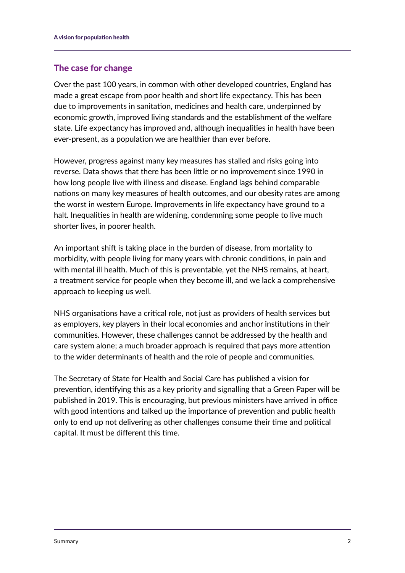# The case for change

Over the past 100 years, in common with other developed countries, England has made a great escape from poor health and short life expectancy. This has been due to improvements in sanitation, medicines and health care, underpinned by economic growth, improved living standards and the establishment of the welfare state. Life expectancy has improved and, although inequalities in health have been ever-present, as a population we are healthier than ever before.

However, progress against many key measures has stalled and risks going into reverse. Data shows that there has been little or no improvement since 1990 in how long people live with illness and disease. England lags behind comparable nations on many key measures of health outcomes, and our obesity rates are among the worst in western Europe. Improvements in life expectancy have ground to a halt. Inequalities in health are widening, condemning some people to live much shorter lives, in poorer health.

An important shift is taking place in the burden of disease, from mortality to morbidity, with people living for many years with chronic conditions, in pain and with mental ill health. Much of this is preventable, yet the NHS remains, at heart, a treatment service for people when they become ill, and we lack a comprehensive approach to keeping us well.

NHS organisations have a critical role, not just as providers of health services but as employers, key players in their local economies and anchor institutions in their communities. However, these challenges cannot be addressed by the health and care system alone; a much broader approach is required that pays more attention to the wider determinants of health and the role of people and communities.

The Secretary of State for Health and Social Care has published a vision for prevention, identifying this as a key priority and signalling that a Green Paper will be published in 2019. This is encouraging, but previous ministers have arrived in office with good intentions and talked up the importance of prevention and public health only to end up not delivering as other challenges consume their time and political capital. It must be different this time.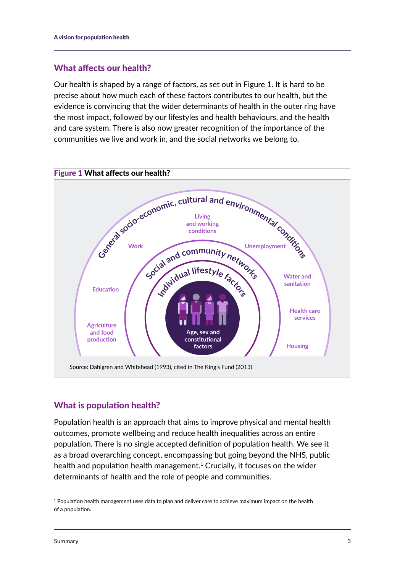## What affects our health?

Our health is shaped by a range of factors, as set out in Figure 1. It is hard to be precise about how much each of these factors contributes to our health, but the evidence is convincing that the wider determinants of health in the outer ring have the most impact, followed by our lifestyles and health behaviours, and the health and care system. There is also now greater recognition of the importance of the communities we live and work in, and the social networks we belong to.



# What is population health?

Population health is an approach that aims to improve physical and mental health outcomes, promote wellbeing and reduce health inequalities across an entire population. There is no single accepted definition of population health. We see it as a broad overarching concept, encompassing but going beyond the NHS, public health and population health management.<sup>1</sup> Crucially, it focuses on the wider determinants of health and the role of people and communities.

<sup>&</sup>lt;sup>1</sup> Population health management uses data to plan and deliver care to achieve maximum impact on the health of a population.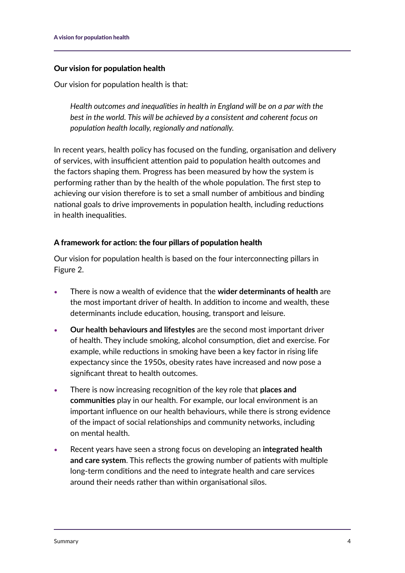#### Our vision for population health

Our vision for population health is that:

*Health outcomes and inequalities in health in England will be on a par with the best in the world. This will be achieved by a consistent and coherent focus on population health locally, regionally and nationally.*

In recent years, health policy has focused on the funding, organisation and delivery of services, with insufficient attention paid to population health outcomes and the factors shaping them. Progress has been measured by how the system is performing rather than by the health of the whole population. The first step to achieving our vision therefore is to set a small number of ambitious and binding national goals to drive improvements in population health, including reductions in health inequalities.

#### A framework for action: the four pillars of population health

Our vision for population health is based on the four interconnecting pillars in Figure 2.

- **•** There is now a wealth of evidence that the **wider determinants of health** are the most important driver of health. In addition to income and wealth, these determinants include education, housing, transport and leisure.
- **• Our health behaviours and lifestyles** are the second most important driver of health. They include smoking, alcohol consumption, diet and exercise. For example, while reductions in smoking have been a key factor in rising life expectancy since the 1950s, obesity rates have increased and now pose a significant threat to health outcomes.
- **•** There is now increasing recognition of the key role that **places and communities** play in our health. For example, our local environment is an important influence on our health behaviours, while there is strong evidence of the impact of social relationships and community networks, including on mental health.
- **•** Recent years have seen a strong focus on developing an **integrated health and care system**. This reflects the growing number of patients with multiple long-term conditions and the need to integrate health and care services around their needs rather than within organisational silos.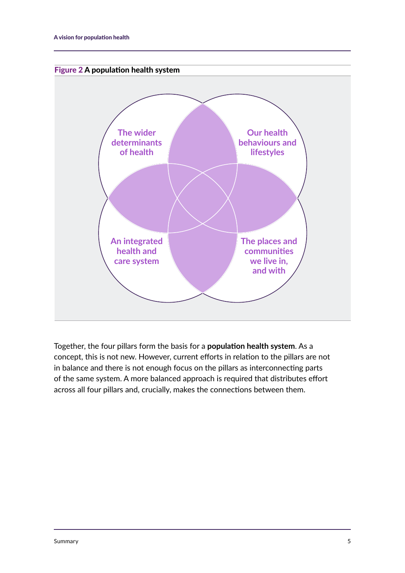



Together, the four pillars form the basis for a **population health system**. As a concept, this is not new. However, current efforts in relation to the pillars are not in balance and there is not enough focus on the pillars as interconnecting parts of the same system. A more balanced approach is required that distributes effort across all four pillars and, crucially, makes the connections between them.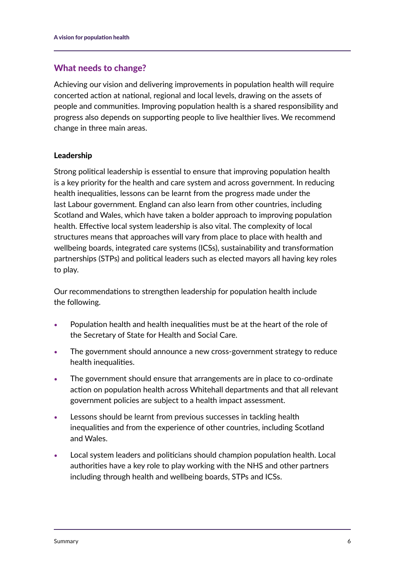## What needs to change?

Achieving our vision and delivering improvements in population health will require concerted action at national, regional and local levels, drawing on the assets of people and communities. Improving population health is a shared responsibility and progress also depends on supporting people to live healthier lives. We recommend change in three main areas.

#### Leadership

Strong political leadership is essential to ensure that improving population health is a key priority for the health and care system and across government. In reducing health inequalities, lessons can be learnt from the progress made under the last Labour government. England can also learn from other countries, including Scotland and Wales, which have taken a bolder approach to improving population health. Effective local system leadership is also vital. The complexity of local structures means that approaches will vary from place to place with health and wellbeing boards, integrated care systems (ICSs), sustainability and transformation partnerships (STPs) and political leaders such as elected mayors all having key roles to play.

Our recommendations to strengthen leadership for population health include the following.

- **•** Population health and health inequalities must be at the heart of the role of the Secretary of State for Health and Social Care.
- **•** The government should announce a new cross-government strategy to reduce health inequalities.
- **•** The government should ensure that arrangements are in place to co-ordinate action on population health across Whitehall departments and that all relevant government policies are subject to a health impact assessment.
- **•** Lessons should be learnt from previous successes in tackling health inequalities and from the experience of other countries, including Scotland and Wales.
- **•** Local system leaders and politicians should champion population health. Local authorities have a key role to play working with the NHS and other partners including through health and wellbeing boards, STPs and ICSs.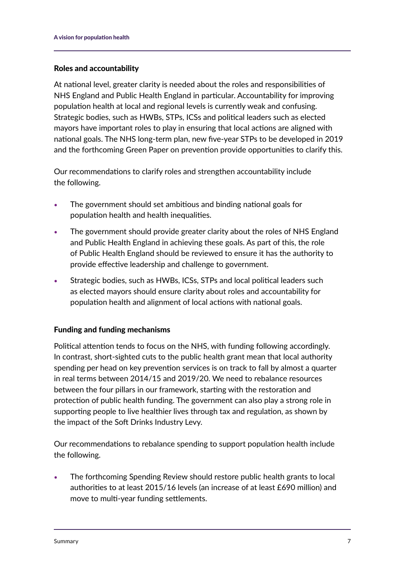#### Roles and accountability

At national level, greater clarity is needed about the roles and responsibilities of NHS England and Public Health England in particular. Accountability for improving population health at local and regional levels is currently weak and confusing. Strategic bodies, such as HWBs, STPs, ICSs and political leaders such as elected mayors have important roles to play in ensuring that local actions are aligned with national goals. The NHS long-term plan, new five-year STPs to be developed in 2019 and the forthcoming Green Paper on prevention provide opportunities to clarify this.

Our recommendations to clarify roles and strengthen accountability include the following.

- **•** The government should set ambitious and binding national goals for population health and health inequalities.
- **•** The government should provide greater clarity about the roles of NHS England and Public Health England in achieving these goals. As part of this, the role of Public Health England should be reviewed to ensure it has the authority to provide effective leadership and challenge to government.
- **•** Strategic bodies, such as HWBs, ICSs, STPs and local political leaders such as elected mayors should ensure clarity about roles and accountability for population health and alignment of local actions with national goals.

# Funding and funding mechanisms

Political attention tends to focus on the NHS, with funding following accordingly. In contrast, short-sighted cuts to the public health grant mean that local authority spending per head on key prevention services is on track to fall by almost a quarter in real terms between 2014/15 and 2019/20. We need to rebalance resources between the four pillars in our framework, starting with the restoration and protection of public health funding. The government can also play a strong role in supporting people to live healthier lives through tax and regulation, as shown by the impact of the Soft Drinks Industry Levy.

Our recommendations to rebalance spending to support population health include the following.

**•** The forthcoming Spending Review should restore public health grants to local authorities to at least 2015/16 levels (an increase of at least £690 million) and move to multi-year funding settlements.